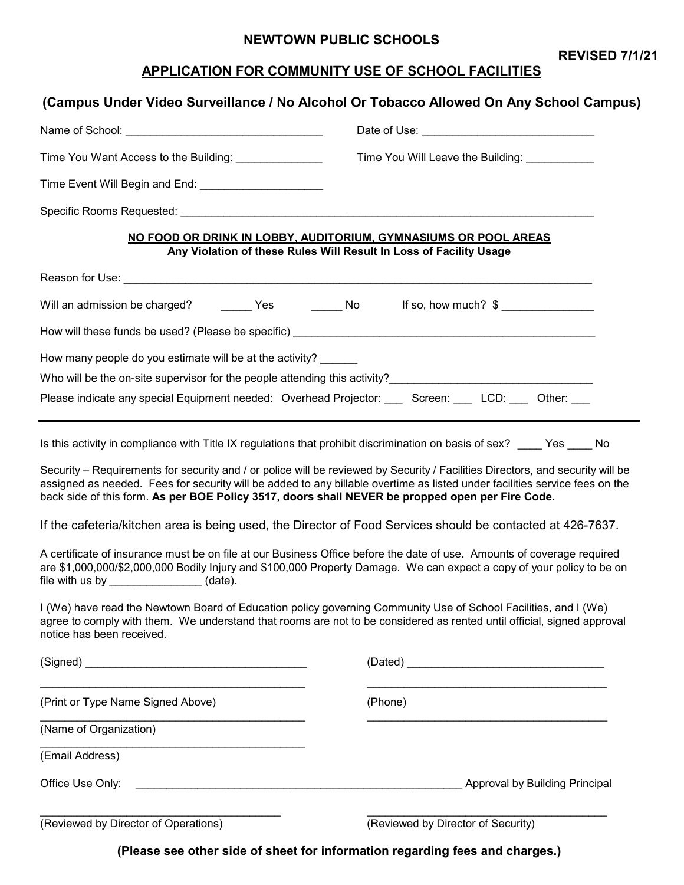#### **NEWTOWN PUBLIC SCHOOLS**

**REVISED 7/1/21**

# **APPLICATION FOR COMMUNITY USE OF SCHOOL FACILITIES**

|                                                                                                  | (Campus Under Video Surveillance / No Alcohol Or Tobacco Allowed On Any School Campus)                                                                                                                                                                        |
|--------------------------------------------------------------------------------------------------|---------------------------------------------------------------------------------------------------------------------------------------------------------------------------------------------------------------------------------------------------------------|
|                                                                                                  |                                                                                                                                                                                                                                                               |
| Time You Want Access to the Building: ______________                                             | Time You Will Leave the Building: ___________                                                                                                                                                                                                                 |
|                                                                                                  |                                                                                                                                                                                                                                                               |
|                                                                                                  |                                                                                                                                                                                                                                                               |
|                                                                                                  | NO FOOD OR DRINK IN LOBBY, AUDITORIUM, GYMNASIUMS OR POOL AREAS<br>Any Violation of these Rules Will Result In Loss of Facility Usage                                                                                                                         |
|                                                                                                  |                                                                                                                                                                                                                                                               |
|                                                                                                  | Will an admission be charged? ________Yes ________No ______ff so, how much? \$ _____________________                                                                                                                                                          |
|                                                                                                  |                                                                                                                                                                                                                                                               |
| How many people do you estimate will be at the activity? ______                                  |                                                                                                                                                                                                                                                               |
|                                                                                                  | Who will be the on-site supervisor for the people attending this activity?<br>Who will be the on-site supervisor for the people attending this activity?                                                                                                      |
|                                                                                                  | Please indicate any special Equipment needed: Overhead Projector: ___ Screen: ___ LCD: ___ Other: ___                                                                                                                                                         |
|                                                                                                  | Is this activity in compliance with Title IX regulations that prohibit discrimination on basis of sex? ____ Yes ____ No                                                                                                                                       |
| back side of this form. As per BOE Policy 3517, doors shall NEVER be propped open per Fire Code. | Security – Requirements for security and / or police will be reviewed by Security / Facilities Directors, and security will be<br>assigned as needed. Fees for security will be added to any billable overtime as listed under facilities service fees on the |
|                                                                                                  | If the cafeteria/kitchen area is being used, the Director of Food Services should be contacted at 426-7637.                                                                                                                                                   |
| file with us by $\qquad \qquad$ (date).                                                          | A certificate of insurance must be on file at our Business Office before the date of use. Amounts of coverage required<br>are \$1,000,000/\$2,000,000 Bodily Injury and \$100,000 Property Damage. We can expect a copy of your policy to be on               |
| notice has been received.                                                                        | I (We) have read the Newtown Board of Education policy governing Community Use of School Facilities, and I (We)<br>agree to comply with them. We understand that rooms are not to be considered as rented until official, signed approval                     |
|                                                                                                  |                                                                                                                                                                                                                                                               |
| (Print or Type Name Signed Above)                                                                | (Phone)                                                                                                                                                                                                                                                       |
| (Name of Organization)                                                                           |                                                                                                                                                                                                                                                               |
|                                                                                                  |                                                                                                                                                                                                                                                               |

(Email Address)

Office Use Only: \_\_\_\_\_\_\_\_\_\_\_\_\_\_\_\_\_\_\_\_\_\_\_\_\_\_\_\_\_\_\_\_\_\_\_\_\_\_\_\_\_\_\_\_\_\_\_\_\_\_\_\_\_ Approval by Building Principal

(Reviewed by Director of Operations) (Reviewed by Director of Security)

**(Please see other side of sheet for information regarding fees and charges.)**

\_\_\_\_\_\_\_\_\_\_\_\_\_\_\_\_\_\_\_\_\_\_\_\_\_\_\_\_\_\_\_\_\_\_\_\_\_\_\_ \_\_\_\_\_\_\_\_\_\_\_\_\_\_\_\_\_\_\_\_\_\_\_\_\_\_\_\_\_\_\_\_\_\_\_\_\_\_\_